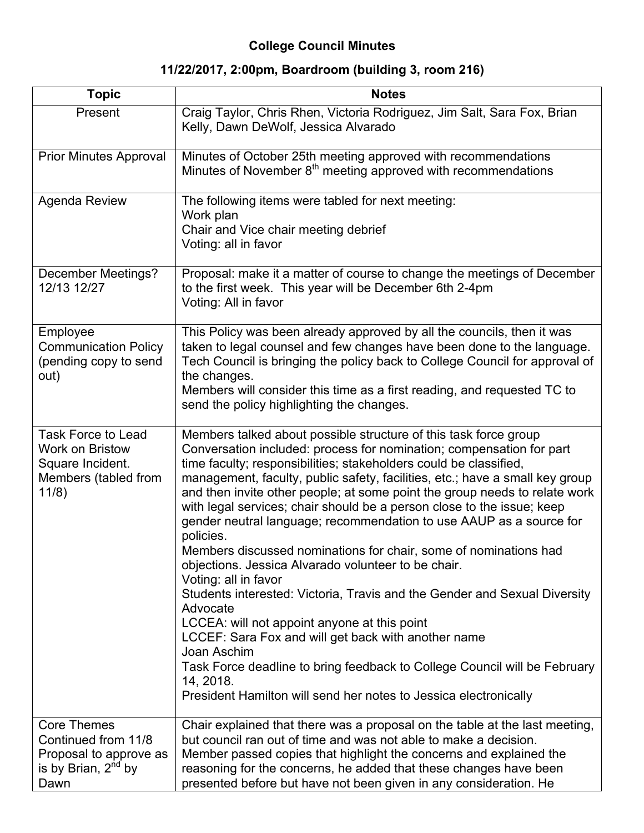## **College Council Minutes**

## **11/22/2017, 2:00pm, Boardroom (building 3, room 216)**

| <b>Topic</b>                                                                                            | <b>Notes</b>                                                                                                                                                                                                                                                                                                                                                                                                                                                                                                                                                                                                                                                                                                                                                                                                                                                                                                                                                                                                                                                              |
|---------------------------------------------------------------------------------------------------------|---------------------------------------------------------------------------------------------------------------------------------------------------------------------------------------------------------------------------------------------------------------------------------------------------------------------------------------------------------------------------------------------------------------------------------------------------------------------------------------------------------------------------------------------------------------------------------------------------------------------------------------------------------------------------------------------------------------------------------------------------------------------------------------------------------------------------------------------------------------------------------------------------------------------------------------------------------------------------------------------------------------------------------------------------------------------------|
| Present                                                                                                 | Craig Taylor, Chris Rhen, Victoria Rodriguez, Jim Salt, Sara Fox, Brian<br>Kelly, Dawn DeWolf, Jessica Alvarado                                                                                                                                                                                                                                                                                                                                                                                                                                                                                                                                                                                                                                                                                                                                                                                                                                                                                                                                                           |
| <b>Prior Minutes Approval</b>                                                                           | Minutes of October 25th meeting approved with recommendations<br>Minutes of November 8 <sup>th</sup> meeting approved with recommendations                                                                                                                                                                                                                                                                                                                                                                                                                                                                                                                                                                                                                                                                                                                                                                                                                                                                                                                                |
| Agenda Review                                                                                           | The following items were tabled for next meeting:<br>Work plan<br>Chair and Vice chair meeting debrief<br>Voting: all in favor                                                                                                                                                                                                                                                                                                                                                                                                                                                                                                                                                                                                                                                                                                                                                                                                                                                                                                                                            |
| <b>December Meetings?</b><br>12/13 12/27                                                                | Proposal: make it a matter of course to change the meetings of December<br>to the first week. This year will be December 6th 2-4pm<br>Voting: All in favor                                                                                                                                                                                                                                                                                                                                                                                                                                                                                                                                                                                                                                                                                                                                                                                                                                                                                                                |
| Employee<br><b>Communication Policy</b><br>(pending copy to send<br>out)                                | This Policy was been already approved by all the councils, then it was<br>taken to legal counsel and few changes have been done to the language.<br>Tech Council is bringing the policy back to College Council for approval of<br>the changes.<br>Members will consider this time as a first reading, and requested TC to<br>send the policy highlighting the changes.                                                                                                                                                                                                                                                                                                                                                                                                                                                                                                                                                                                                                                                                                                   |
| <b>Task Force to Lead</b><br>Work on Bristow<br>Square Incident.<br>Members (tabled from<br>11/8)       | Members talked about possible structure of this task force group<br>Conversation included: process for nomination; compensation for part<br>time faculty; responsibilities; stakeholders could be classified,<br>management, faculty, public safety, facilities, etc.; have a small key group<br>and then invite other people; at some point the group needs to relate work<br>with legal services; chair should be a person close to the issue; keep<br>gender neutral language; recommendation to use AAUP as a source for<br>policies.<br>Members discussed nominations for chair, some of nominations had<br>objections. Jessica Alvarado volunteer to be chair.<br>Voting: all in favor<br>Students interested: Victoria, Travis and the Gender and Sexual Diversity<br>Advocate<br>LCCEA: will not appoint anyone at this point<br>LCCEF: Sara Fox and will get back with another name<br>Joan Aschim<br>Task Force deadline to bring feedback to College Council will be February<br>14, 2018.<br>President Hamilton will send her notes to Jessica electronically |
| <b>Core Themes</b><br>Continued from 11/8<br>Proposal to approve as<br>is by Brian, $2^{nd}$ by<br>Dawn | Chair explained that there was a proposal on the table at the last meeting,<br>but council ran out of time and was not able to make a decision.<br>Member passed copies that highlight the concerns and explained the<br>reasoning for the concerns, he added that these changes have been<br>presented before but have not been given in any consideration. He                                                                                                                                                                                                                                                                                                                                                                                                                                                                                                                                                                                                                                                                                                           |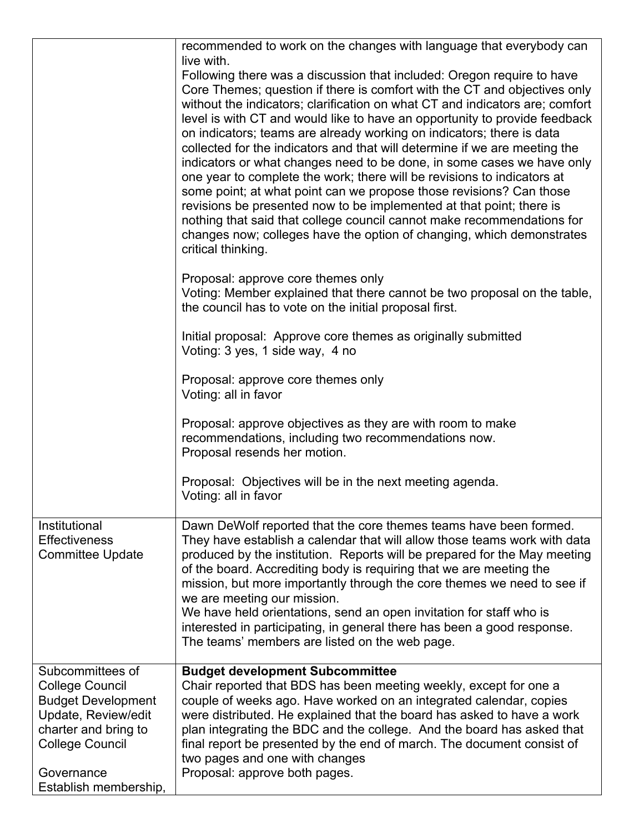|                                                                                                                                                                                         | recommended to work on the changes with language that everybody can<br>live with.<br>Following there was a discussion that included: Oregon require to have<br>Core Themes; question if there is comfort with the CT and objectives only<br>without the indicators; clarification on what CT and indicators are; comfort<br>level is with CT and would like to have an opportunity to provide feedback<br>on indicators; teams are already working on indicators; there is data<br>collected for the indicators and that will determine if we are meeting the<br>indicators or what changes need to be done, in some cases we have only<br>one year to complete the work; there will be revisions to indicators at<br>some point; at what point can we propose those revisions? Can those<br>revisions be presented now to be implemented at that point; there is<br>nothing that said that college council cannot make recommendations for<br>changes now; colleges have the option of changing, which demonstrates<br>critical thinking.<br>Proposal: approve core themes only |
|-----------------------------------------------------------------------------------------------------------------------------------------------------------------------------------------|----------------------------------------------------------------------------------------------------------------------------------------------------------------------------------------------------------------------------------------------------------------------------------------------------------------------------------------------------------------------------------------------------------------------------------------------------------------------------------------------------------------------------------------------------------------------------------------------------------------------------------------------------------------------------------------------------------------------------------------------------------------------------------------------------------------------------------------------------------------------------------------------------------------------------------------------------------------------------------------------------------------------------------------------------------------------------------|
|                                                                                                                                                                                         | Voting: Member explained that there cannot be two proposal on the table,<br>the council has to vote on the initial proposal first.<br>Initial proposal: Approve core themes as originally submitted<br>Voting: 3 yes, 1 side way, 4 no                                                                                                                                                                                                                                                                                                                                                                                                                                                                                                                                                                                                                                                                                                                                                                                                                                           |
|                                                                                                                                                                                         | Proposal: approve core themes only<br>Voting: all in favor                                                                                                                                                                                                                                                                                                                                                                                                                                                                                                                                                                                                                                                                                                                                                                                                                                                                                                                                                                                                                       |
|                                                                                                                                                                                         | Proposal: approve objectives as they are with room to make<br>recommendations, including two recommendations now.<br>Proposal resends her motion.                                                                                                                                                                                                                                                                                                                                                                                                                                                                                                                                                                                                                                                                                                                                                                                                                                                                                                                                |
|                                                                                                                                                                                         | Proposal: Objectives will be in the next meeting agenda.<br>Voting: all in favor                                                                                                                                                                                                                                                                                                                                                                                                                                                                                                                                                                                                                                                                                                                                                                                                                                                                                                                                                                                                 |
| Institutional<br><b>Effectiveness</b><br><b>Committee Update</b>                                                                                                                        | Dawn DeWolf reported that the core themes teams have been formed.<br>They have establish a calendar that will allow those teams work with data<br>produced by the institution. Reports will be prepared for the May meeting<br>of the board. Accrediting body is requiring that we are meeting the<br>mission, but more importantly through the core themes we need to see if<br>we are meeting our mission.<br>We have held orientations, send an open invitation for staff who is<br>interested in participating, in general there has been a good response.<br>The teams' members are listed on the web page.                                                                                                                                                                                                                                                                                                                                                                                                                                                                 |
| Subcommittees of<br><b>College Council</b><br><b>Budget Development</b><br>Update, Review/edit<br>charter and bring to<br><b>College Council</b><br>Governance<br>Establish membership, | <b>Budget development Subcommittee</b><br>Chair reported that BDS has been meeting weekly, except for one a<br>couple of weeks ago. Have worked on an integrated calendar, copies<br>were distributed. He explained that the board has asked to have a work<br>plan integrating the BDC and the college. And the board has asked that<br>final report be presented by the end of march. The document consist of<br>two pages and one with changes<br>Proposal: approve both pages.                                                                                                                                                                                                                                                                                                                                                                                                                                                                                                                                                                                               |